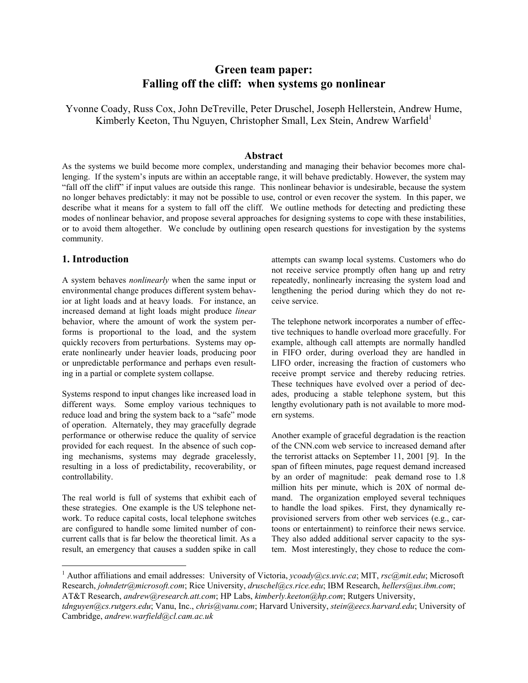# **Green team paper: Falling off the cliff: when systems go nonlinear**

Yvonne Coady, Russ Cox, John DeTreville, Peter Druschel, Joseph Hellerstein, Andrew Hume, Kimberly Keeton, Thu Nguyen, Christopher Small, Lex Stein, Andrew Warfield<sup>1</sup>

# **Abstract**

As the systems we build become more complex, understanding and managing their behavior becomes more challenging. If the system's inputs are within an acceptable range, it will behave predictably. However, the system may "fall off the cliff" if input values are outside this range. This nonlinear behavior is undesirable, because the system no longer behaves predictably: it may not be possible to use, control or even recover the system. In this paper, we describe what it means for a system to fall off the cliff. We outline methods for detecting and predicting these modes of nonlinear behavior, and propose several approaches for designing systems to cope with these instabilities, or to avoid them altogether. We conclude by outlining open research questions for investigation by the systems community.

### **1. Introduction**

 $\overline{a}$ 

A system behaves *nonlinearly* when the same input or environmental change produces different system behavior at light loads and at heavy loads. For instance, an increased demand at light loads might produce *linear* behavior, where the amount of work the system performs is proportional to the load, and the system quickly recovers from perturbations. Systems may operate nonlinearly under heavier loads, producing poor or unpredictable performance and perhaps even resulting in a partial or complete system collapse.

Systems respond to input changes like increased load in different ways. Some employ various techniques to reduce load and bring the system back to a "safe" mode of operation. Alternately, they may gracefully degrade performance or otherwise reduce the quality of service provided for each request. In the absence of such coping mechanisms, systems may degrade gracelessly, resulting in a loss of predictability, recoverability, or controllability.

The real world is full of systems that exhibit each of these strategies. One example is the US telephone network. To reduce capital costs, local telephone switches are configured to handle some limited number of concurrent calls that is far below the theoretical limit. As a result, an emergency that causes a sudden spike in call

attempts can swamp local systems. Customers who do not receive service promptly often hang up and retry repeatedly, nonlinearly increasing the system load and lengthening the period during which they do not receive service.

The telephone network incorporates a number of effective techniques to handle overload more gracefully. For example, although call attempts are normally handled in FIFO order, during overload they are handled in LIFO order, increasing the fraction of customers who receive prompt service and thereby reducing retries. These techniques have evolved over a period of decades, producing a stable telephone system, but this lengthy evolutionary path is not available to more modern systems.

Another example of graceful degradation is the reaction of the CNN.com web service to increased demand after the terrorist attacks on September 11, 2001 [9]. In the span of fifteen minutes, page request demand increased by an order of magnitude: peak demand rose to 1.8 million hits per minute, which is 20X of normal demand. The organization employed several techniques to handle the load spikes. First, they dynamically reprovisioned servers from other web services (e.g., cartoons or entertainment) to reinforce their news service. They also added additional server capacity to the system. Most interestingly, they chose to reduce the com-

<sup>&</sup>lt;sup>1</sup> Author affiliations and email addresses: University of Victoria, *ycoady@cs.uvic.ca*; MIT, *rsc@mit.edu*; Microsoft Research, *johndetr@microsoft.com*; Rice University, *druschel@cs.rice.edu*; IBM Research, *hellers@us.ibm.com*; AT&T Research, *andrew@research.att.com*; HP Labs, *kimberly.keeton@hp.com*; Rutgers University,

*tdnguyen@cs.rutgers.edu*; Vanu, Inc., *chris@vanu.com*; Harvard University, *stein@eecs.harvard.edu*; University of Cambridge, *andrew.warfield@cl.cam.ac.uk*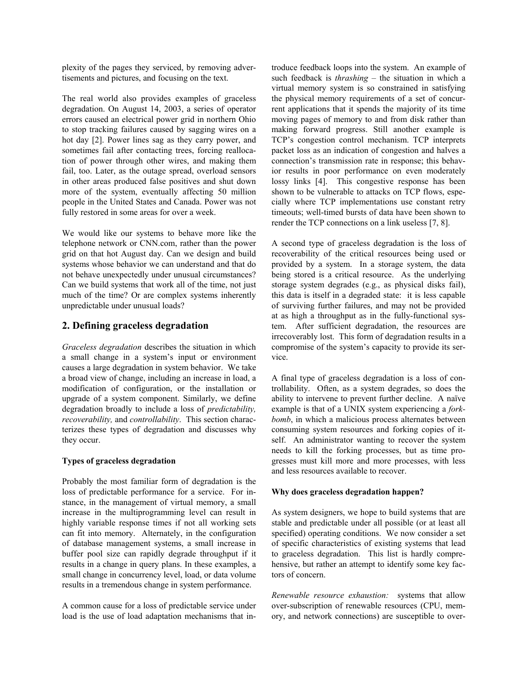plexity of the pages they serviced, by removing advertisements and pictures, and focusing on the text.

The real world also provides examples of graceless degradation. On August 14, 2003, a series of operator errors caused an electrical power grid in northern Ohio to stop tracking failures caused by sagging wires on a hot day [2]. Power lines sag as they carry power, and sometimes fail after contacting trees, forcing reallocation of power through other wires, and making them fail, too. Later, as the outage spread, overload sensors in other areas produced false positives and shut down more of the system, eventually affecting 50 million people in the United States and Canada. Power was not fully restored in some areas for over a week.

We would like our systems to behave more like the telephone network or CNN.com, rather than the power grid on that hot August day. Can we design and build systems whose behavior we can understand and that do not behave unexpectedly under unusual circumstances? Can we build systems that work all of the time, not just much of the time? Or are complex systems inherently unpredictable under unusual loads?

## **2. Defining graceless degradation**

*Graceless degradation* describes the situation in which a small change in a system's input or environment causes a large degradation in system behavior. We take a broad view of change, including an increase in load, a modification of configuration, or the installation or upgrade of a system component. Similarly, we define degradation broadly to include a loss of *predictability, recoverability,* and *controllability*. This section characterizes these types of degradation and discusses why they occur.

## **Types of graceless degradation**

Probably the most familiar form of degradation is the loss of predictable performance for a service. For instance, in the management of virtual memory, a small increase in the multiprogramming level can result in highly variable response times if not all working sets can fit into memory. Alternately, in the configuration of database management systems, a small increase in buffer pool size can rapidly degrade throughput if it results in a change in query plans. In these examples, a small change in concurrency level, load, or data volume results in a tremendous change in system performance.

A common cause for a loss of predictable service under load is the use of load adaptation mechanisms that introduce feedback loops into the system. An example of such feedback is *thrashing* – the situation in which a virtual memory system is so constrained in satisfying the physical memory requirements of a set of concurrent applications that it spends the majority of its time moving pages of memory to and from disk rather than making forward progress. Still another example is TCP's congestion control mechanism. TCP interprets packet loss as an indication of congestion and halves a connection's transmission rate in response; this behavior results in poor performance on even moderately lossy links [4]. This congestive response has been shown to be vulnerable to attacks on TCP flows, especially where TCP implementations use constant retry timeouts; well-timed bursts of data have been shown to render the TCP connections on a link useless [7, 8].

A second type of graceless degradation is the loss of recoverability of the critical resources being used or provided by a system. In a storage system, the data being stored is a critical resource. As the underlying storage system degrades (e.g., as physical disks fail), this data is itself in a degraded state: it is less capable of surviving further failures, and may not be provided at as high a throughput as in the fully-functional system. After sufficient degradation, the resources are irrecoverably lost. This form of degradation results in a compromise of the system's capacity to provide its service.

A final type of graceless degradation is a loss of controllability. Often, as a system degrades, so does the ability to intervene to prevent further decline. A naïve example is that of a UNIX system experiencing a *forkbomb*, in which a malicious process alternates between consuming system resources and forking copies of itself. An administrator wanting to recover the system needs to kill the forking processes, but as time progresses must kill more and more processes, with less and less resources available to recover.

#### **Why does graceless degradation happen?**

As system designers, we hope to build systems that are stable and predictable under all possible (or at least all specified) operating conditions. We now consider a set of specific characteristics of existing systems that lead to graceless degradation. This list is hardly comprehensive, but rather an attempt to identify some key factors of concern.

*Renewable resource exhaustion:* systems that allow over-subscription of renewable resources (CPU, memory, and network connections) are susceptible to over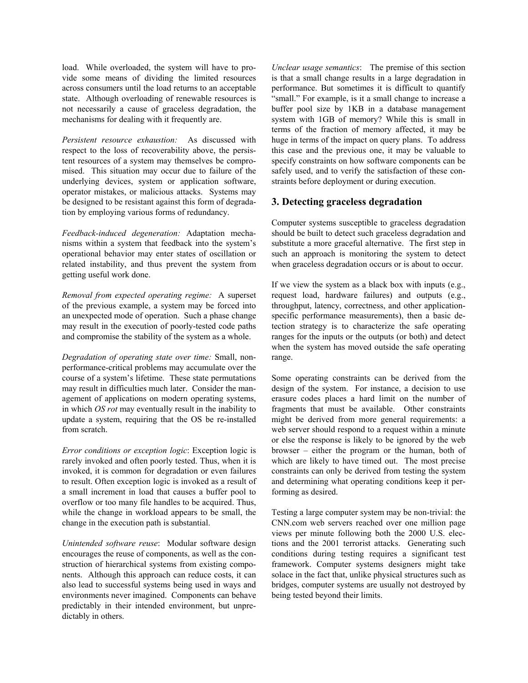load. While overloaded, the system will have to provide some means of dividing the limited resources across consumers until the load returns to an acceptable state. Although overloading of renewable resources is not necessarily a cause of graceless degradation, the mechanisms for dealing with it frequently are.

*Persistent resource exhaustion:* As discussed with respect to the loss of recoverability above, the persistent resources of a system may themselves be compromised. This situation may occur due to failure of the underlying devices, system or application software, operator mistakes, or malicious attacks. Systems may be designed to be resistant against this form of degradation by employing various forms of redundancy.

*Feedback-induced degeneration:* Adaptation mechanisms within a system that feedback into the system's operational behavior may enter states of oscillation or related instability, and thus prevent the system from getting useful work done.

*Removal from expected operating regime:* A superset of the previous example, a system may be forced into an unexpected mode of operation. Such a phase change may result in the execution of poorly-tested code paths and compromise the stability of the system as a whole.

*Degradation of operating state over time:* Small, nonperformance-critical problems may accumulate over the course of a system's lifetime. These state permutations may result in difficulties much later. Consider the management of applications on modern operating systems, in which *OS rot* may eventually result in the inability to update a system, requiring that the OS be re-installed from scratch.

*Error conditions or exception logic*: Exception logic is rarely invoked and often poorly tested. Thus, when it is invoked, it is common for degradation or even failures to result. Often exception logic is invoked as a result of a small increment in load that causes a buffer pool to overflow or too many file handles to be acquired. Thus, while the change in workload appears to be small, the change in the execution path is substantial.

*Unintended software reuse*: Modular software design encourages the reuse of components, as well as the construction of hierarchical systems from existing components. Although this approach can reduce costs, it can also lead to successful systems being used in ways and environments never imagined. Components can behave predictably in their intended environment, but unpredictably in others.

*Unclear usage semantics*: The premise of this section is that a small change results in a large degradation in performance. But sometimes it is difficult to quantify "small." For example, is it a small change to increase a buffer pool size by 1KB in a database management system with 1GB of memory? While this is small in terms of the fraction of memory affected, it may be huge in terms of the impact on query plans. To address this case and the previous one, it may be valuable to specify constraints on how software components can be safely used, and to verify the satisfaction of these constraints before deployment or during execution.

## **3. Detecting graceless degradation**

Computer systems susceptible to graceless degradation should be built to detect such graceless degradation and substitute a more graceful alternative. The first step in such an approach is monitoring the system to detect when graceless degradation occurs or is about to occur.

If we view the system as a black box with inputs (e.g., request load, hardware failures) and outputs (e.g., throughput, latency, correctness, and other applicationspecific performance measurements), then a basic detection strategy is to characterize the safe operating ranges for the inputs or the outputs (or both) and detect when the system has moved outside the safe operating range.

Some operating constraints can be derived from the design of the system. For instance, a decision to use erasure codes places a hard limit on the number of fragments that must be available. Other constraints might be derived from more general requirements: a web server should respond to a request within a minute or else the response is likely to be ignored by the web browser – either the program or the human, both of which are likely to have timed out. The most precise constraints can only be derived from testing the system and determining what operating conditions keep it performing as desired.

Testing a large computer system may be non-trivial: the CNN.com web servers reached over one million page views per minute following both the 2000 U.S. elections and the 2001 terrorist attacks. Generating such conditions during testing requires a significant test framework. Computer systems designers might take solace in the fact that, unlike physical structures such as bridges, computer systems are usually not destroyed by being tested beyond their limits.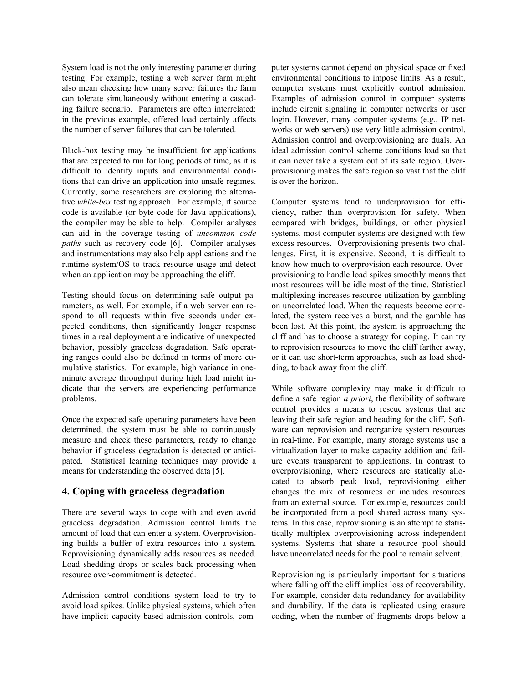System load is not the only interesting parameter during testing. For example, testing a web server farm might also mean checking how many server failures the farm can tolerate simultaneously without entering a cascading failure scenario. Parameters are often interrelated: in the previous example, offered load certainly affects the number of server failures that can be tolerated.

Black-box testing may be insufficient for applications that are expected to run for long periods of time, as it is difficult to identify inputs and environmental conditions that can drive an application into unsafe regimes. Currently, some researchers are exploring the alternative *white-box* testing approach. For example, if source code is available (or byte code for Java applications), the compiler may be able to help. Compiler analyses can aid in the coverage testing of *uncommon code paths* such as recovery code [6]. Compiler analyses and instrumentations may also help applications and the runtime system/OS to track resource usage and detect when an application may be approaching the cliff.

Testing should focus on determining safe output parameters, as well. For example, if a web server can respond to all requests within five seconds under expected conditions, then significantly longer response times in a real deployment are indicative of unexpected behavior, possibly graceless degradation. Safe operating ranges could also be defined in terms of more cumulative statistics. For example, high variance in oneminute average throughput during high load might indicate that the servers are experiencing performance problems.

Once the expected safe operating parameters have been determined, the system must be able to continuously measure and check these parameters, ready to change behavior if graceless degradation is detected or anticipated. Statistical learning techniques may provide a means for understanding the observed data [5].

# **4. Coping with graceless degradation**

There are several ways to cope with and even avoid graceless degradation. Admission control limits the amount of load that can enter a system. Overprovisioning builds a buffer of extra resources into a system. Reprovisioning dynamically adds resources as needed. Load shedding drops or scales back processing when resource over-commitment is detected.

Admission control conditions system load to try to avoid load spikes. Unlike physical systems, which often have implicit capacity-based admission controls, computer systems cannot depend on physical space or fixed environmental conditions to impose limits. As a result, computer systems must explicitly control admission. Examples of admission control in computer systems include circuit signaling in computer networks or user login. However, many computer systems (e.g., IP networks or web servers) use very little admission control. Admission control and overprovisioning are duals. An ideal admission control scheme conditions load so that it can never take a system out of its safe region. Overprovisioning makes the safe region so vast that the cliff is over the horizon.

Computer systems tend to underprovision for efficiency, rather than overprovision for safety. When compared with bridges, buildings, or other physical systems, most computer systems are designed with few excess resources. Overprovisioning presents two challenges. First, it is expensive. Second, it is difficult to know how much to overprovision each resource. Overprovisioning to handle load spikes smoothly means that most resources will be idle most of the time. Statistical multiplexing increases resource utilization by gambling on uncorrelated load. When the requests become correlated, the system receives a burst, and the gamble has been lost. At this point, the system is approaching the cliff and has to choose a strategy for coping. It can try to reprovision resources to move the cliff farther away, or it can use short-term approaches, such as load shedding, to back away from the cliff.

While software complexity may make it difficult to define a safe region *a priori*, the flexibility of software control provides a means to rescue systems that are leaving their safe region and heading for the cliff. Software can reprovision and reorganize system resources in real-time. For example, many storage systems use a virtualization layer to make capacity addition and failure events transparent to applications. In contrast to overprovisioning, where resources are statically allocated to absorb peak load, reprovisioning either changes the mix of resources or includes resources from an external source. For example, resources could be incorporated from a pool shared across many systems. In this case, reprovisioning is an attempt to statistically multiplex overprovisioning across independent systems. Systems that share a resource pool should have uncorrelated needs for the pool to remain solvent.

Reprovisioning is particularly important for situations where falling off the cliff implies loss of recoverability. For example, consider data redundancy for availability and durability. If the data is replicated using erasure coding, when the number of fragments drops below a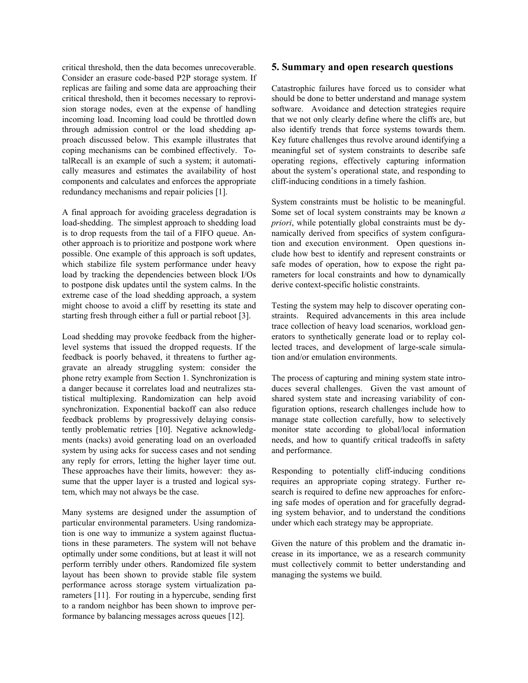critical threshold, then the data becomes unrecoverable. Consider an erasure code-based P2P storage system. If replicas are failing and some data are approaching their critical threshold, then it becomes necessary to reprovision storage nodes, even at the expense of handling incoming load. Incoming load could be throttled down through admission control or the load shedding approach discussed below. This example illustrates that coping mechanisms can be combined effectively. TotalRecall is an example of such a system; it automatically measures and estimates the availability of host components and calculates and enforces the appropriate redundancy mechanisms and repair policies [1].

A final approach for avoiding graceless degradation is load-shedding. The simplest approach to shedding load is to drop requests from the tail of a FIFO queue. Another approach is to prioritize and postpone work where possible. One example of this approach is soft updates, which stabilize file system performance under heavy load by tracking the dependencies between block I/Os to postpone disk updates until the system calms. In the extreme case of the load shedding approach, a system might choose to avoid a cliff by resetting its state and starting fresh through either a full or partial reboot [3].

Load shedding may provoke feedback from the higherlevel systems that issued the dropped requests. If the feedback is poorly behaved, it threatens to further aggravate an already struggling system: consider the phone retry example from Section 1. Synchronization is a danger because it correlates load and neutralizes statistical multiplexing. Randomization can help avoid synchronization. Exponential backoff can also reduce feedback problems by progressively delaying consistently problematic retries [10]. Negative acknowledgments (nacks) avoid generating load on an overloaded system by using acks for success cases and not sending any reply for errors, letting the higher layer time out. These approaches have their limits, however: they assume that the upper layer is a trusted and logical system, which may not always be the case.

Many systems are designed under the assumption of particular environmental parameters. Using randomization is one way to immunize a system against fluctuations in these parameters. The system will not behave optimally under some conditions, but at least it will not perform terribly under others. Randomized file system layout has been shown to provide stable file system performance across storage system virtualization parameters [11]. For routing in a hypercube, sending first to a random neighbor has been shown to improve performance by balancing messages across queues [12].

#### **5. Summary and open research questions**

Catastrophic failures have forced us to consider what should be done to better understand and manage system software. Avoidance and detection strategies require that we not only clearly define where the cliffs are, but also identify trends that force systems towards them. Key future challenges thus revolve around identifying a meaningful set of system constraints to describe safe operating regions, effectively capturing information about the system's operational state, and responding to cliff-inducing conditions in a timely fashion.

System constraints must be holistic to be meaningful. Some set of local system constraints may be known *a priori*, while potentially global constraints must be dynamically derived from specifics of system configuration and execution environment. Open questions include how best to identify and represent constraints or safe modes of operation, how to expose the right parameters for local constraints and how to dynamically derive context-specific holistic constraints.

Testing the system may help to discover operating constraints. Required advancements in this area include trace collection of heavy load scenarios, workload generators to synthetically generate load or to replay collected traces, and development of large-scale simulation and/or emulation environments.

The process of capturing and mining system state introduces several challenges. Given the vast amount of shared system state and increasing variability of configuration options, research challenges include how to manage state collection carefully, how to selectively monitor state according to global/local information needs, and how to quantify critical tradeoffs in safety and performance.

Responding to potentially cliff-inducing conditions requires an appropriate coping strategy. Further research is required to define new approaches for enforcing safe modes of operation and for gracefully degrading system behavior, and to understand the conditions under which each strategy may be appropriate.

Given the nature of this problem and the dramatic increase in its importance, we as a research community must collectively commit to better understanding and managing the systems we build.